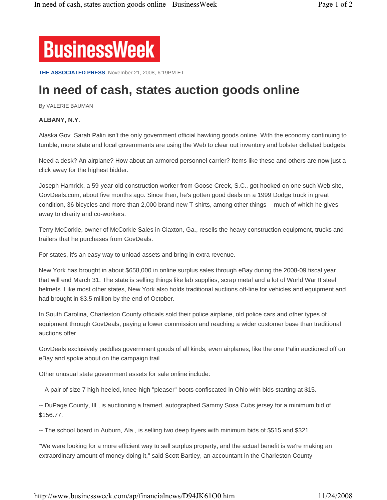

**THE ASSOCIATED PRESS** November 21, 2008, 6:19PM ET

## **In need of cash, states auction goods online**

By VALERIE BAUMAN

## **ALBANY, N.Y.**

Alaska Gov. Sarah Palin isn't the only government official hawking goods online. With the economy continuing to tumble, more state and local governments are using the Web to clear out inventory and bolster deflated budgets.

Need a desk? An airplane? How about an armored personnel carrier? Items like these and others are now just a click away for the highest bidder.

Joseph Hamrick, a 59-year-old construction worker from Goose Creek, S.C., got hooked on one such Web site, GovDeals.com, about five months ago. Since then, he's gotten good deals on a 1999 Dodge truck in great condition, 36 bicycles and more than 2,000 brand-new T-shirts, among other things -- much of which he gives away to charity and co-workers.

Terry McCorkle, owner of McCorkle Sales in Claxton, Ga., resells the heavy construction equipment, trucks and trailers that he purchases from GovDeals.

For states, it's an easy way to unload assets and bring in extra revenue.

New York has brought in about \$658,000 in online surplus sales through eBay during the 2008-09 fiscal year that will end March 31. The state is selling things like lab supplies, scrap metal and a lot of World War II steel helmets. Like most other states, New York also holds traditional auctions off-line for vehicles and equipment and had brought in \$3.5 million by the end of October.

In South Carolina, Charleston County officials sold their police airplane, old police cars and other types of equipment through GovDeals, paying a lower commission and reaching a wider customer base than traditional auctions offer.

GovDeals exclusively peddles government goods of all kinds, even airplanes, like the one Palin auctioned off on eBay and spoke about on the campaign trail.

Other unusual state government assets for sale online include:

-- A pair of size 7 high-heeled, knee-high "pleaser" boots confiscated in Ohio with bids starting at \$15.

-- DuPage County, Ill., is auctioning a framed, autographed Sammy Sosa Cubs jersey for a minimum bid of \$156.77.

-- The school board in Auburn, Ala., is selling two deep fryers with minimum bids of \$515 and \$321.

"We were looking for a more efficient way to sell surplus property, and the actual benefit is we're making an extraordinary amount of money doing it," said Scott Bartley, an accountant in the Charleston County